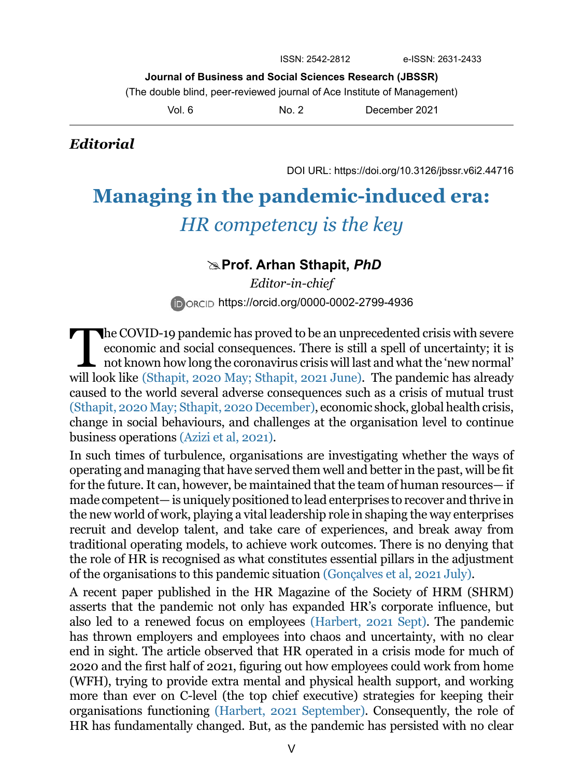**Journal of Business and Social Sciences Research (JBSSR)**

(The double blind, peer-reviewed journal of Ace Institute of Management)

Vol. 6 No. 2 December 2021

## *Editorial*

DOI URL: https://doi.org/10.3126/jbssr.v6i2.44716

# **Managing in the pandemic-induced era:** *HR competency is the key*

### **Prof. Arhan Sthapit,** *PhD*

*Editor-in-chief*  **DORCID https://orcid.org/0000-0002-2799-4936** 

The COVID-19 pandemic has proved to be an unprecedented crisis with severe economic and social consequences. There is still a spell of uncertainty; it is  $\Box$  not known how long the coronavirus crisis will last and what the 'new normal' will look like (Sthapit, 2020 May; Sthapit, 2021 June). The pandemic has already caused to the world several adverse consequences such as a crisis of mutual trust (Sthapit, 2020 May; Sthapit, 2020 December), economic shock, global health crisis, change in social behaviours, and challenges at the organisation level to continue business operations [\(Azizi et al, 2021\).](#page-2-0)

In such times of turbulence, organisations are investigating whether the ways of operating and managing that have served them well and better in the past, will be fit for the future. It can, however, be maintained that the team of human resources— if made competent— is uniquely positioned to lead enterprises to recover and thrive in the new world of work, playing a vital leadership role in shaping the way enterprises recruit and develop talent, and take care of experiences, and break away from traditional operating models, to achieve work outcomes. There is no denying that the role of HR is recognised as what constitutes essential pillars in the adjustment of the organisations to this pandemic situation (Gonçalves et al, 2021 July).

A recent paper published in the HR Magazine of the Society of HRM (SHRM) asserts that the pandemic not only has expanded HR's corporate influence, but also led to a renewed focus on employees (Harbert, 2021 Sept). The pandemic has thrown employers and employees into chaos and uncertainty, with no clear end in sight. The article observed that HR operated in a crisis mode for much of 2020 and the first half of 2021, figuring out how employees could work from home (WFH), trying to provide extra mental and physical health support, and working more than ever on C-level (the top chief executive) strategies for keeping their organisations functioning (Harbert, 2021 September). Consequently, the role of HR has fundamentally changed. But, as the pandemic has persisted with no clear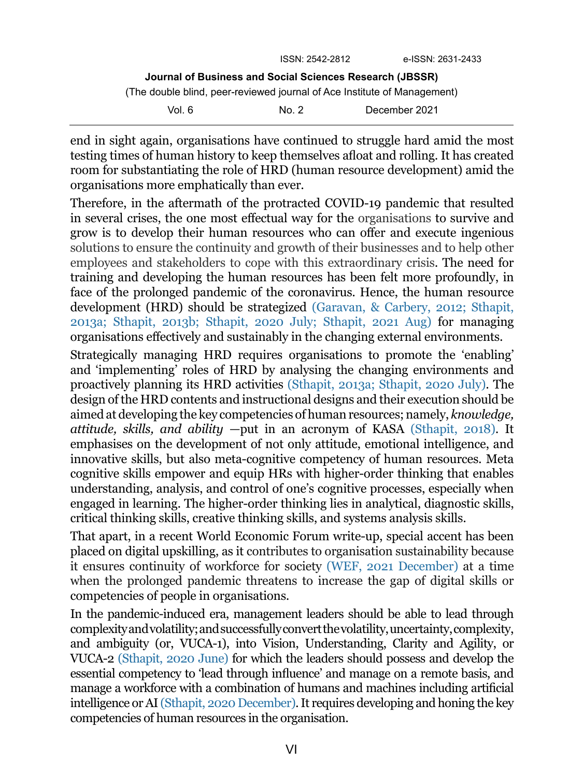|                                                                          | ISSN: 2542-2812 | e-ISSN: 2631-2433 |
|--------------------------------------------------------------------------|-----------------|-------------------|
| Journal of Business and Social Sciences Research (JBSSR)                 |                 |                   |
| (The double blind, peer-reviewed journal of Ace Institute of Management) |                 |                   |
| Vol. 6.                                                                  | No. 2           | December 2021     |

end in sight again, organisations have continued to struggle hard amid the most testing times of human history to keep themselves afloat and rolling. It has created room for substantiating the role of HRD (human resource development) amid the organisations more emphatically than ever.

Therefore, in the aftermath of the protracted COVID-19 pandemic that resulted in several crises, the one most effectual way for the organisations to survive and grow is to develop their human resources who can offer and execute ingenious solutions to ensure the continuity and growth of their businesses and to help other employees and stakeholders to cope with this extraordinary crisis. The need for training and developing the human resources has been felt more profoundly, in face of the prolonged pandemic of the coronavirus. Hence, the human resource development (HRD) should be strategized (Garavan, & Carbery, 2012; Sthapit, 2013a; Sthapit, 2013b; Sthapit, 2020 July; Sthapit, 2021 Aug) for managing organisations effectively and sustainably in the changing external environments.

Strategically managing HRD requires organisations to promote the 'enabling' and 'implementing' roles of HRD by analysing the changing environments and proactively planning its HRD activities (Sthapit, 2013a; Sthapit, 2020 July). The design of the HRD contents and instructional designs and their execution should be aimed at developing the key competencies of human resources; namely, *knowledge, attitude, skills, and ability* —put in an acronym of KASA (Sthapit, 2018). It emphasises on the development of not only attitude, emotional intelligence, and innovative skills, but also meta-cognitive competency of human resources. Meta cognitive skills empower and equip HRs with higher-order thinking that enables understanding, analysis, and control of one's cognitive processes, especially when engaged in learning. The higher-order thinking lies in analytical, diagnostic skills, critical thinking skills, creative thinking skills, and systems analysis skills.

That apart, in a recent World Economic Forum write-up, special accent has been placed on digital upskilling, as it contributes to organisation sustainability because it ensures continuity of workforce for society (WEF, 2021 December) at a time when the prolonged pandemic threatens to increase the gap of digital skills or competencies of people in organisations.

In the pandemic-induced era, management leaders should be able to lead through complexity and volatility; and successfully convert the volatility, uncertainty, complexity, and ambiguity (or, VUCA-1), into Vision, Understanding, Clarity and Agility, or VUCA-2 (Sthapit, 2020 June) for which the leaders should possess and develop the essential competency to 'lead through influence' and manage on a remote basis, and manage a workforce with a combination of humans and machines including artificial intelligence or AI (Sthapit, 2020 December). It requires developing and honing the key competencies of human resources in the organisation.